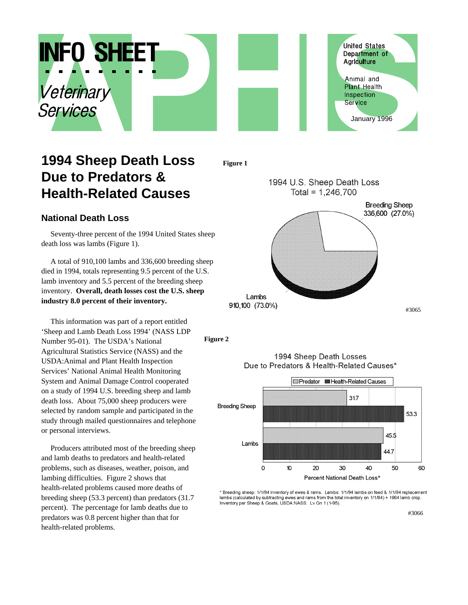

## **1994 Sheep Death Loss Due to Predators & Health-Related Causes**

**Figure 1**



**National Death Loss**

Seventy-three percent of the 1994 United States sheep death loss was lambs (Figure 1).

A total of 910,100 lambs and 336,600 breeding sheep died in 1994, totals representing 9.5 percent of the U.S. lamb inventory and 5.5 percent of the breeding sheep inventory. **Overall, death losses cost the U.S. sheep industry 8.0 percent of their inventory.**

This information was part of a report entitled 'Sheep and Lamb Death Loss 1994' (NASS LDP Number 95-01). The USDA's National Agricultural Statistics Service (NASS) and the USDA:Animal and Plant Health Inspection Services' National Animal Health Monitoring System and Animal Damage Control cooperated on a study of 1994 U.S. breeding sheep and lamb death loss. About 75,000 sheep producers were selected by random sample and participated in the study through mailed questionnaires and telephone or personal interviews.

Producers attributed most of the breeding sheep and lamb deaths to predators and health-related problems, such as diseases, weather, poison, and lambing difficulties. Figure 2 shows that health-related problems caused more deaths of breeding sheep (53.3 percent) than predators (31.7 percent). The percentage for lamb deaths due to predators was 0.8 percent higher than that for health-related problems.

**Figure 2**



1994 Sheep Death Losses Due to Predators & Health-Related Causes\*

Breeding sheep: 1/1/94 inventory of ewes & rams. Lambs: 1/1/94 lambs on feed & 1/1/94 replacement lambs (calculated by subtracting ewes and rams from the total inventory on 1/1/94) + 1994 lamb crop. Inventory per Sheep & Goats, USDA:NASS. Lv Gn 1 (1-95).

#3066